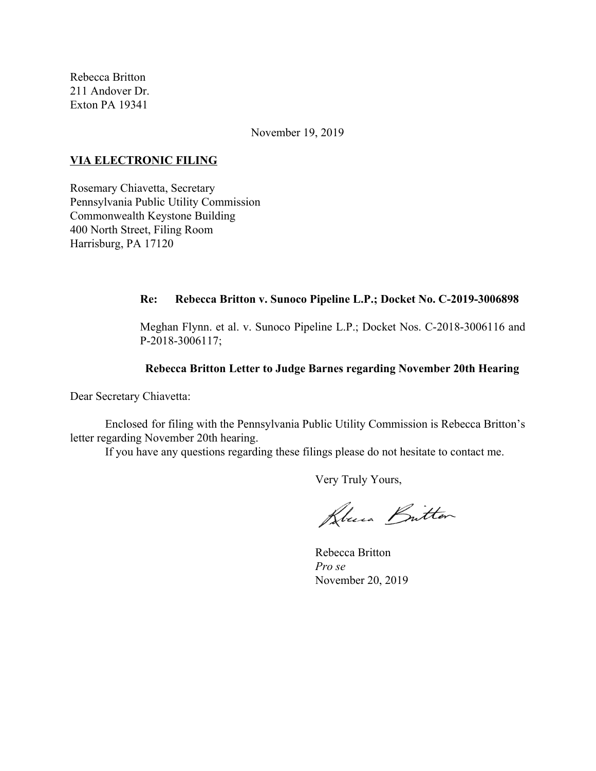Rebecca Britton 211 Andover Dr. Exton PA 19341

November 19, 2019

### **VIA ELECTRONIC FILING**

Rosemary Chiavetta, Secretary Pennsylvania Public Utility Commission Commonwealth Keystone Building 400 North Street, Filing Room Harrisburg, PA 17120

### **Re: Rebecca Britton v. Sunoco Pipeline L.P.; Docket No. C-2019-3006898**

Meghan Flynn. et al. v. Sunoco Pipeline L.P.; Docket Nos. C-2018-3006116 and P-2018-3006117;

#### **Rebecca Britton Letter to Judge Barnes regarding November 20th Hearing**

Dear Secretary Chiavetta:

Enclosed for filing with the Pennsylvania Public Utility Commission is Rebecca Britton's letter regarding November 20th hearing.

If you have any questions regarding these filings please do not hesitate to contact me.

Very Truly Yours,

Blue Britton

Rebecca Britton *Pro se* November 20, 2019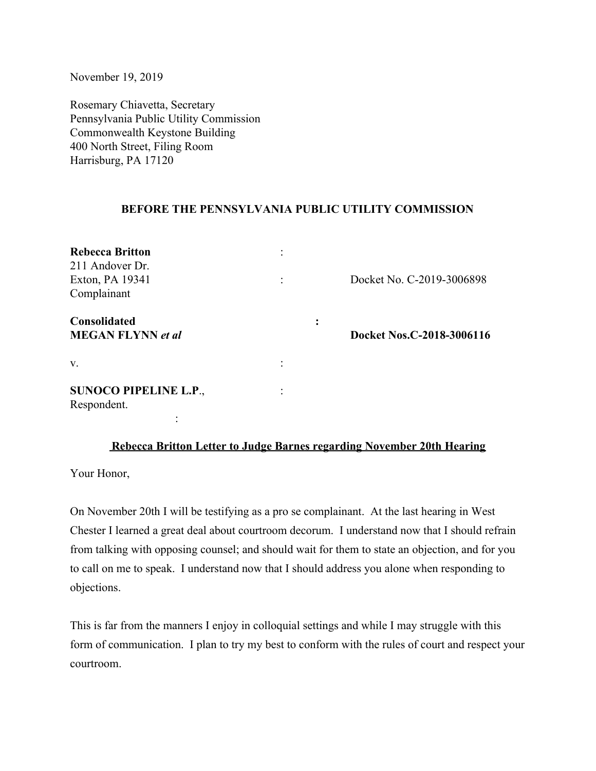November 19, 2019

Rosemary Chiavetta, Secretary Pennsylvania Public Utility Commission Commonwealth Keystone Building 400 North Street, Filing Room Harrisburg, PA 17120

# **BEFORE THE PENNSYLVANIA PUBLIC UTILITY COMMISSION**

| <b>Rebecca Britton</b><br>211 Andover Dr.<br>Exton, PA 19341<br>Complainant |  | Docket No. C-2019-3006898 |
|-----------------------------------------------------------------------------|--|---------------------------|
| <b>Consolidated</b><br><b>MEGAN FLYNN</b> et al                             |  | Docket Nos.C-2018-3006116 |
| V.                                                                          |  |                           |
| <b>SUNOCO PIPELINE L.P.,</b><br>Respondent.                                 |  |                           |

# **Rebecca Britton Letter to Judge Barnes regarding November 20th Hearing**

Your Honor,

On November 20th I will be testifying as a pro se complainant. At the last hearing in West Chester I learned a great deal about courtroom decorum. I understand now that I should refrain from talking with opposing counsel; and should wait for them to state an objection, and for you to call on me to speak. I understand now that I should address you alone when responding to objections.

This is far from the manners I enjoy in colloquial settings and while I may struggle with this form of communication. I plan to try my best to conform with the rules of court and respect your courtroom.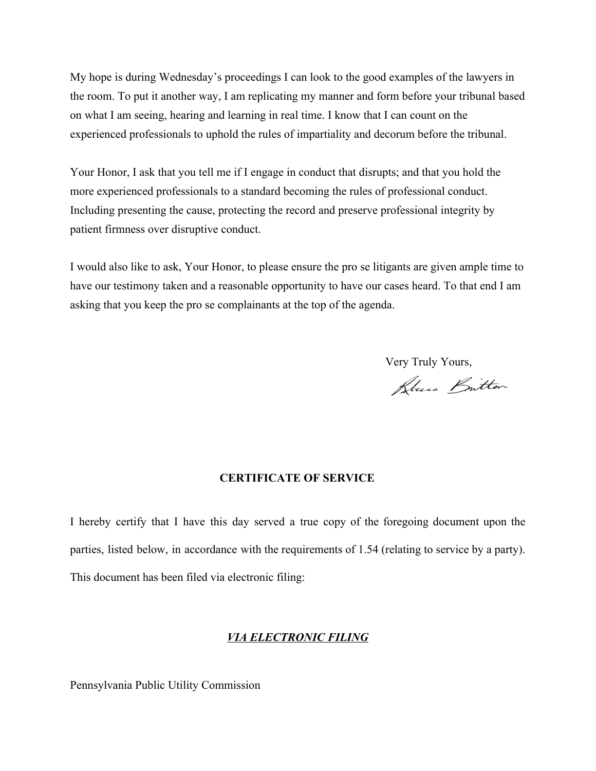My hope is during Wednesday's proceedings I can look to the good examples of the lawyers in the room. To put it another way, I am replicating my manner and form before your tribunal based on what I am seeing, hearing and learning in real time. I know that I can count on the experienced professionals to uphold the rules of impartiality and decorum before the tribunal.

Your Honor, I ask that you tell me if I engage in conduct that disrupts; and that you hold the more experienced professionals to a standard becoming the rules of professional conduct. Including presenting the cause, protecting the record and preserve professional integrity by patient firmness over disruptive conduct.

I would also like to ask, Your Honor, to please ensure the pro se litigants are given ample time to have our testimony taken and a reasonable opportunity to have our cases heard. To that end I am asking that you keep the pro se complainants at the top of the agenda.

Very Truly Yours,

Klui Britten

# **CERTIFICATE OF SERVICE**

I hereby certify that I have this day served a true copy of the foregoing document upon the parties, listed below, in accordance with the requirements of 1.54 (relating to service by a party). This document has been filed via electronic filing:

### *VIA ELECTRONIC FILING*

Pennsylvania Public Utility Commission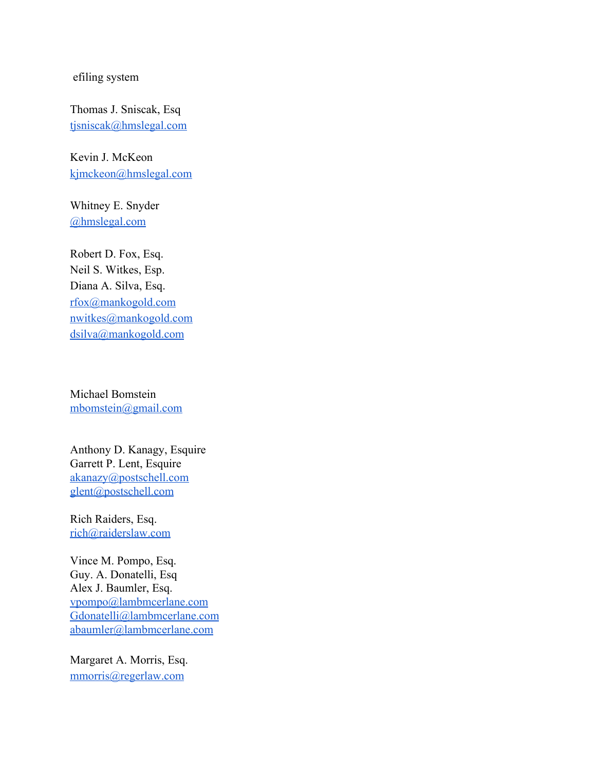efiling system

Thomas J. Sniscak, Esq [tjsniscak@hmslegal.com](mailto:tjsniscak@hmslegal.com)

Kevin J. McKeon [kjmckeon@hmslegal.com](mailto:kjmckeon@hmslegal.com)

Whitney E. Snyder [@hmslegal.com](mailto:wesnyder@hmslegal.com)

Robert D. Fox, Esq. Neil S. Witkes, Esp. Diana A. Silva, Esq. [rfox@mankogold.com](mailto:rfox@mankogold.com) [nwitkes@mankogold.com](mailto:nwitkes@mankogold.com) [dsilva@mankogold.com](mailto:dsilva@mankogold.com)

Michael Bomstein [mbomstein@gmail.com](mailto:mbomstein@gmail.com)

Anthony D. Kanagy, Esquire Garrett P. Lent, Esquire [akanazy@postschell.com](mailto:akanazy@postschell.com) [glent@postschell.com](mailto:glent@postschell.com)

Rich Raiders, Esq. [rich@raiderslaw.com](mailto:rich@raiderslaw.com)

Vince M. Pompo, Esq. Guy. A. Donatelli, Esq Alex J. Baumler, Esq. [vpompo@lambmcerlane.com](mailto:vpompo@lambmcerlane.com) [Gdonatelli@lambmcerlane.com](mailto:Gdonatelli@lambmcerlane.com) [abaumler@lambmcerlane.com](mailto:abaumler@lambmcerlane.com)

Margaret A. Morris, Esq. [mmorris@regerlaw.com](mailto:mmorris@regerlaw.com)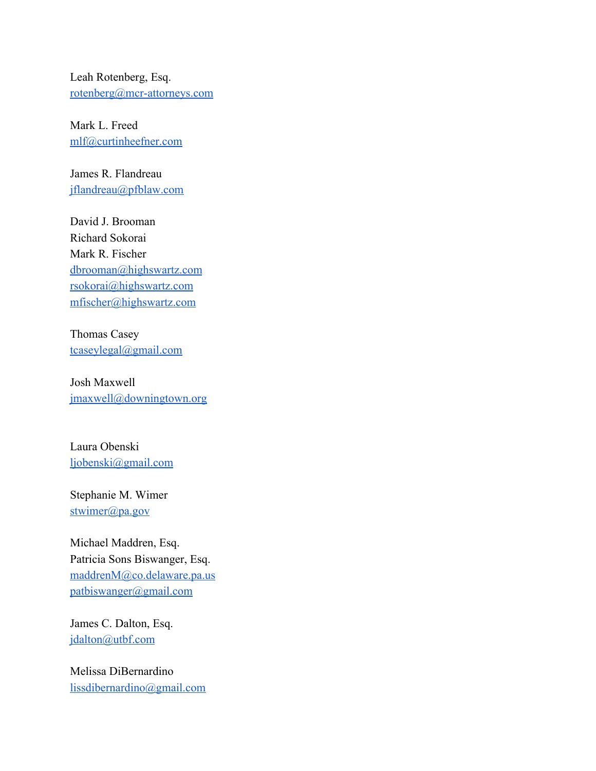Leah Rotenberg, Esq. [rotenberg@mcr-attorneys.com](mailto:rotenberg@mcr-attorneys.com)

Mark L. Freed [mlf@curtinheefner.com](mailto:mlf@curtinheefner.com)

James R. Flandreau [jflandreau@pfblaw.com](mailto:jflandreau@pfblaw.com)

David J. Brooman Richard Sokorai Mark R. Fischer [dbrooman@highswartz.com](mailto:dbrooman@highswartz.com) [rsokorai@highswartz.com](mailto:rsokorai@highswartz.com) [mfischer@highswartz.com](mailto:mfischer@highswartz.com)

Thomas Casey [tcaseylegal@gmail.com](mailto:tcaseylegal@gmail.com)

Josh Maxwell [jmaxwell@downingtown.org](mailto:jmaxwell@downingtown.org)

Laura Obenski [ljobenski@gmail.com](mailto:ljobenski@gmail.com)

Stephanie M. Wimer [stwimer@pa.gov](mailto:stwimer@pa.gov)

Michael Maddren, Esq. Patricia Sons Biswanger, Esq. [maddrenM@co.delaware.pa.us](mailto:maddrenM@co.delaware.pa.us) [patbiswanger@gmail.com](mailto:patbiswanger@gmail.com)

James C. Dalton, Esq. [jdalton@utbf.com](mailto:jdalton@utbf.com)

Melissa DiBernardino [lissdibernardino@gmail.com](mailto:lissdibernardino@gmail.com)